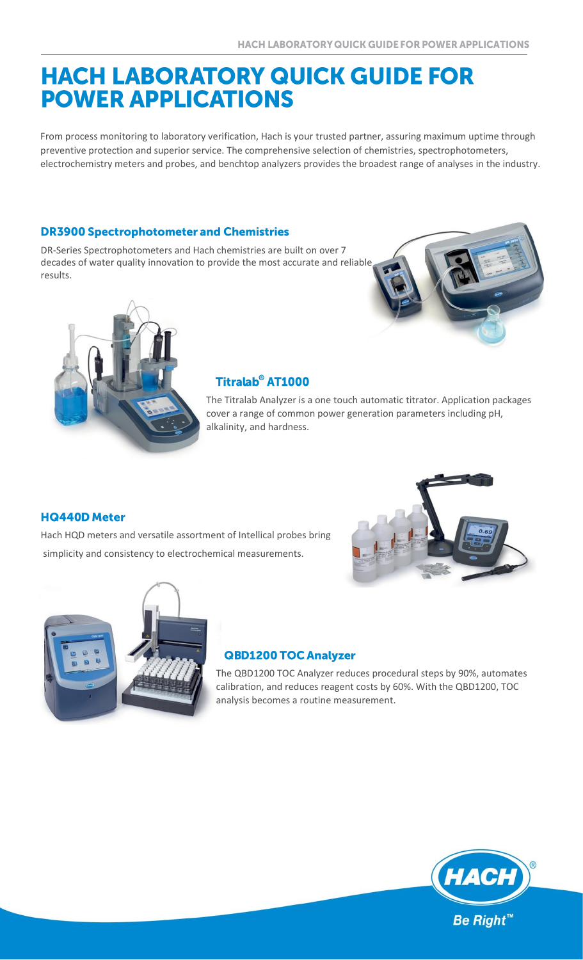# **HACH LABORATORY QUICK GUIDE FOR POWER APPLICATIONS**

From process monitoring to laboratory verification, Hach is your trusted partner, assuring maximum uptime through preventive protection and superior service. The comprehensive selection of chemistries, spectrophotometers, electrochemistry meters and probes, and benchtop analyzers provides the broadest range of analyses in the industry.

#### **DR3900 Spectrophotometer and Chemistries**

DR-Series Spectrophotometers and Hach chemistries are built on over 7 decades of water quality innovation to provide the most accurate and reliable results.





# Titralab<sup>®</sup> AT1000

The Titralab Analyzer is a one touch automatic titrator. Application packages cover a range of common power generation parameters including pH, alkalinity, and hardness.

## **HQ440D Meter**

Hach HQD meters and versatile assortment of Intellical probes bring simplicity and consistency to electrochemical measurements.





## **QBD1200 TOC Analyzer**

The QBD1200 TOC Analyzer reduces procedural steps by 90%, automates calibration, and reduces reagent costs by 60%. With the QBD1200, TOC analysis becomes a routine measurement.